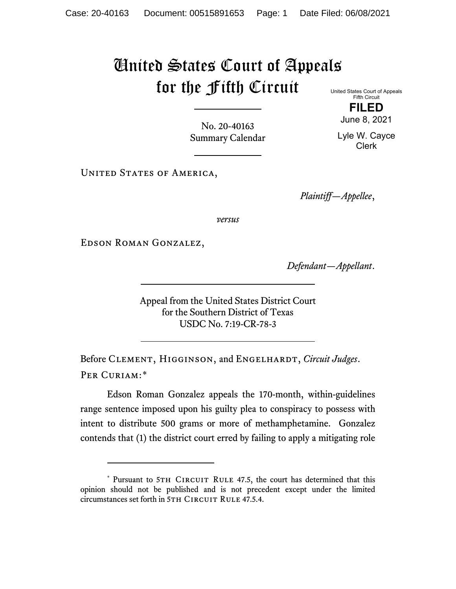## United States Court of Appeals for the Fifth Circuit

United States Court of Appeals Fifth Circuit **FILED**

June 8, 2021

Lyle W. Cayce Clerk

No. 20-40163 Summary Calendar

UNITED STATES OF AMERICA,

*Plaintiff—Appellee*,

*versus*

Edson Roman Gonzalez,

*Defendant—Appellant*.

Appeal from the United States District Court for the Southern District of Texas USDC No. 7:19-CR-78-3

Before Clement, Higginson, and Engelhardt, *Circuit Judges*. Per Curiam:[\\*](#page-0-0)

Edson Roman Gonzalez appeals the 170-month, within-guidelines range sentence imposed upon his guilty plea to conspiracy to possess with intent to distribute 500 grams or more of methamphetamine. Gonzalez contends that (1) the district court erred by failing to apply a mitigating role

<span id="page-0-0"></span><sup>\*</sup> Pursuant to 5TH CIRCUIT RULE 47.5, the court has determined that this opinion should not be published and is not precedent except under the limited circumstances set forth in 5TH CIRCUIT RULE 47.5.4.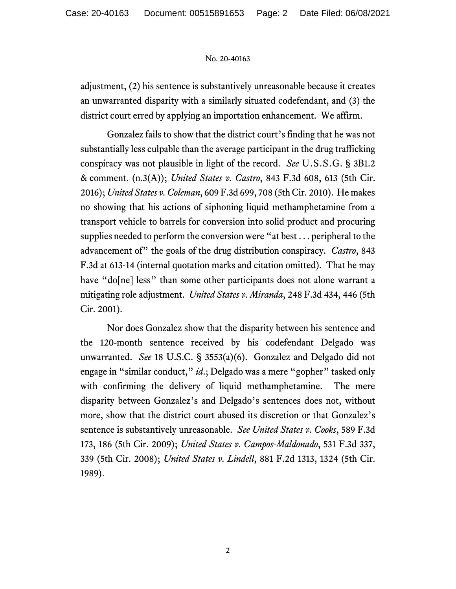## No. 20-40163

adjustment, (2) his sentence is substantively unreasonable because it creates an unwarranted disparity with a similarly situated codefendant, and (3) the district court erred by applying an importation enhancement. We affirm.

Gonzalez fails to show that the district court's finding that he was not substantially less culpable than the average participant in the drug trafficking conspiracy was not plausible in light of the record. *See* U.S.S.G. § 3B1.2 & comment. (n.3(A)); *United States v. Castro*, 843 F.3d 608, 613 (5th Cir. 2016); *United States v. Coleman*, 609 F.3d 699, 708 (5th Cir. 2010). He makes no showing that his actions of siphoning liquid methamphetamine from a transport vehicle to barrels for conversion into solid product and procuring supplies needed to perform the conversion were "at best . . . peripheral to the advancement of" the goals of the drug distribution conspiracy. *Castro*, 843 F.3d at 613-14 (internal quotation marks and citation omitted). That he may have "do[ne] less" than some other participants does not alone warrant a mitigating role adjustment. *United States v. Miranda*, 248 F.3d 434, 446 (5th Cir. 2001).

Nor does Gonzalez show that the disparity between his sentence and the 120-month sentence received by his codefendant Delgado was unwarranted. *See* 18 U.S.C. § 3553(a)(6). Gonzalez and Delgado did not engage in "similar conduct," *id*.; Delgado was a mere "gopher" tasked only with confirming the delivery of liquid methamphetamine. The mere disparity between Gonzalez's and Delgado's sentences does not, without more, show that the district court abused its discretion or that Gonzalez's sentence is substantively unreasonable. *See United States v. Cooks*, 589 F.3d 173, 186 (5th Cir. 2009); *United States v. Campos-Maldonado*, 531 F.3d 337, 339 (5th Cir. 2008); *United States v. Lindell*, 881 F.2d 1313, 1324 (5th Cir. 1989).